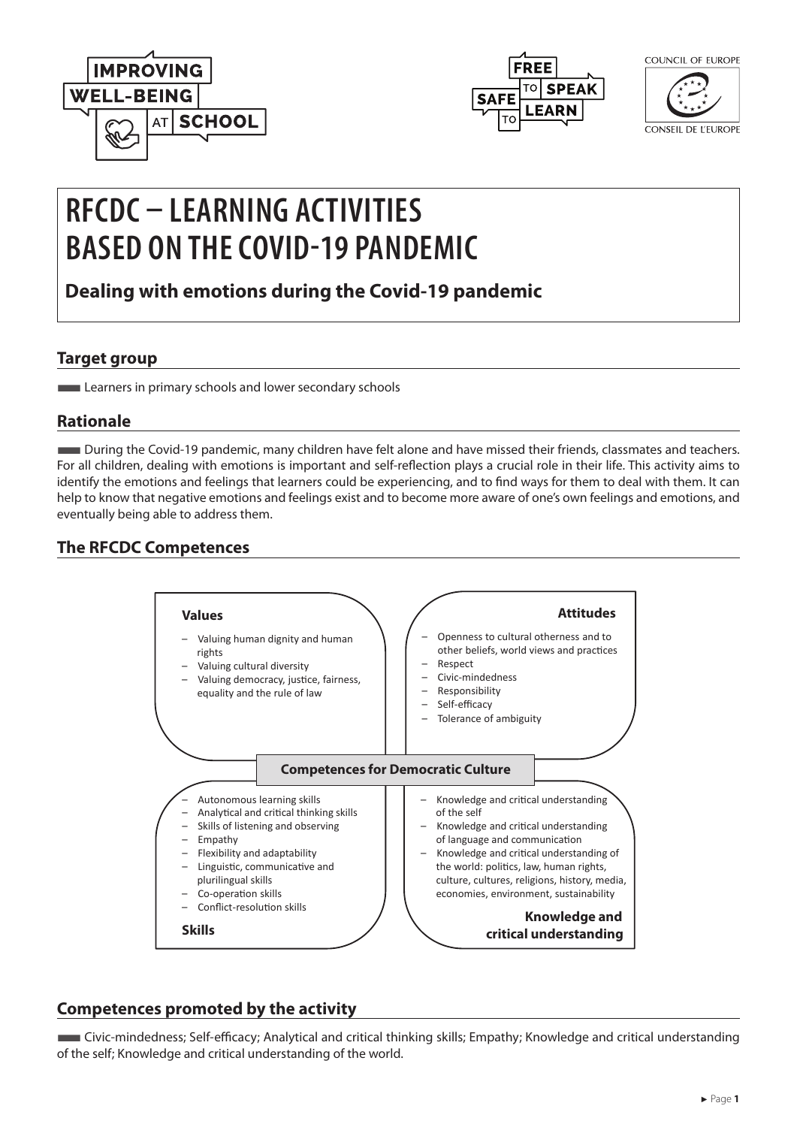



| COUNCIL OF EUROPE |  |
|-------------------|--|
|                   |  |

CONSEIL DE L'EUROPE

# **RFCDC – LEARNING ACTIVITIES BASED ON THE COVID-19 PANDEMIC**

**Dealing with emotions during the Covid-19 pandemic**

### **Target group**

**Learners in primary schools and lower secondary schools** 

## **Rationale**

■During the Covid-19 pandemic, many children have felt alone and have missed their friends, classmates and teachers. For all children, dealing with emotions is important and self-reflection plays a crucial role in their life. This activity aims to identify the emotions and feelings that learners could be experiencing, and to find ways for them to deal with them. It can help to know that negative emotions and feelings exist and to become more aware of one's own feelings and emotions, and eventually being able to address them.

# **The RFCDC Competences**



## **Competences promoted by the activity**

■Civic-mindedness; Self-efficacy; Analytical and critical thinking skills; Empathy; Knowledge and critical understanding of the self; Knowledge and critical understanding of the world.